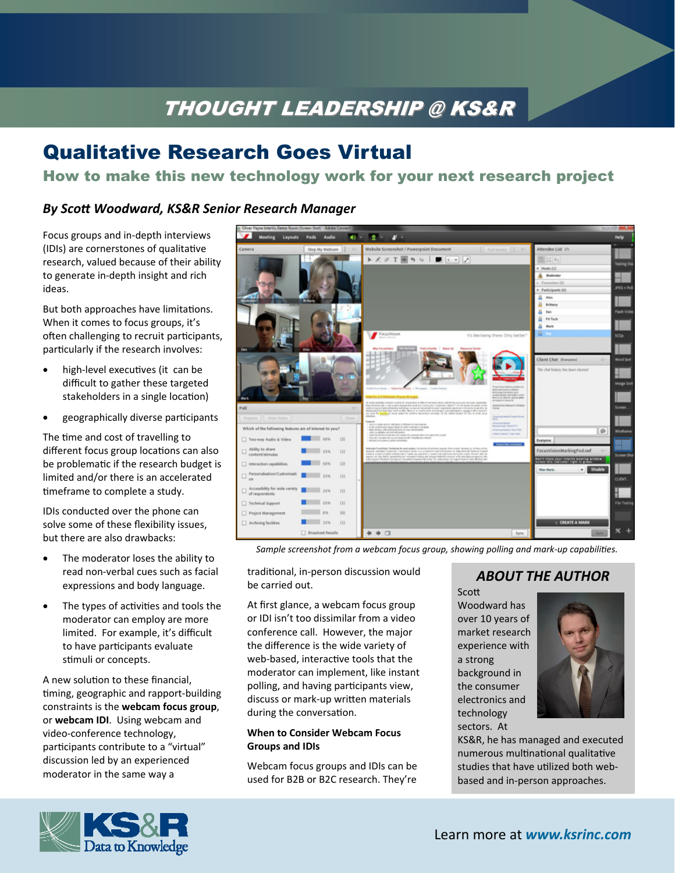# THOUGHT LEADERSHIP @ KS&R THOUGHT LEADERSHIP @ KS&R

## Qualitative Research Goes Virtual

## How to make this new technology work for your next research project

#### *By ScoƩ Woodward, KS&R Senior Research Manager*

Focus groups and in‐depth interviews (IDIs) are cornerstones of qualitative research, valued because of their ability to generate in‐depth insight and rich ideas.

But both approaches have limitations. When it comes to focus groups, it's often challenging to recruit participants, particularly if the research involves:

- high-level executives (it can be difficult to gather these targeted stakeholders in a single location)
- geographically diverse participants

The time and cost of travelling to different focus group locations can also be problematic if the research budget is limited and/or there is an accelerated timeframe to complete a study.

IDIs conducted over the phone can solve some of these flexibility issues, but there are also drawbacks:

- The moderator loses the ability to read non‐verbal cues such as facial expressions and body language.
- The types of activities and tools the moderator can employ are more limited. For example, it's difficult to have participants evaluate stimuli or concepts.

A new solution to these financial, timing, geographic and rapport-building constraints is the **webcam focus group**, or **webcam IDI**.Using webcam and video‐conference technology, participants contribute to a "virtual" discussion led by an experienced moderator in the same way a



*Sample screenshot from a webcam focus group, showing polling and mark‐up capabiliƟes.* 

traditional, in-person discussion would be carried out.

At first glance, a webcam focus group or IDI isn't too dissimilar from a video conference call. However, the major the difference is the wide variety of web-based, interactive tools that the moderator can implement, like instant polling, and having participants view, discuss or mark-up written materials during the conversation.

#### **When to Consider Webcam Focus Groups and IDIs**

Webcam focus groups and IDIs can be used for B2B or B2C research. They're

### *ABOUT THE AUTHOR*

Scott Woodward has over 10 years of market research experience with a strong background in the consumer electronics and technology sectors. At



KS&R, he has managed and executed numerous multinational qualitative studies that have utilized both webbased and in‐person approaches.